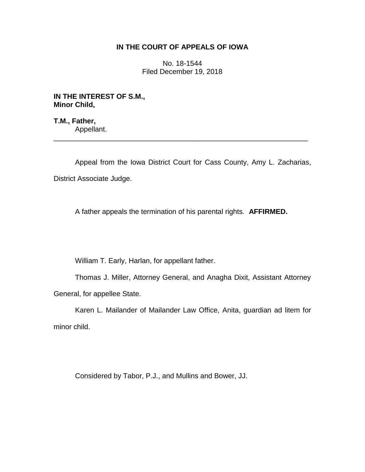## **IN THE COURT OF APPEALS OF IOWA**

No. 18-1544 Filed December 19, 2018

**IN THE INTEREST OF S.M., Minor Child,**

**T.M., Father,** Appellant. \_\_\_\_\_\_\_\_\_\_\_\_\_\_\_\_\_\_\_\_\_\_\_\_\_\_\_\_\_\_\_\_\_\_\_\_\_\_\_\_\_\_\_\_\_\_\_\_\_\_\_\_\_\_\_\_\_\_\_\_\_\_\_\_

Appeal from the Iowa District Court for Cass County, Amy L. Zacharias, District Associate Judge.

A father appeals the termination of his parental rights. **AFFIRMED.**

William T. Early, Harlan, for appellant father.

Thomas J. Miller, Attorney General, and Anagha Dixit, Assistant Attorney General, for appellee State.

Karen L. Mailander of Mailander Law Office, Anita, guardian ad litem for minor child.

Considered by Tabor, P.J., and Mullins and Bower, JJ.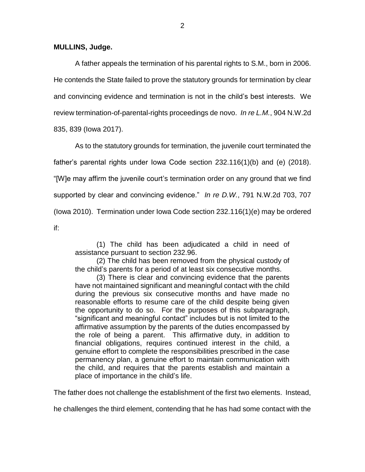## **MULLINS, Judge.**

A father appeals the termination of his parental rights to S.M., born in 2006. He contends the State failed to prove the statutory grounds for termination by clear and convincing evidence and termination is not in the child's best interests. We review termination-of-parental-rights proceedings de novo. *In re L.M.*, 904 N.W.2d

835, 839 (Iowa 2017).

As to the statutory grounds for termination, the juvenile court terminated the father's parental rights under Iowa Code section 232.116(1)(b) and (e) (2018). "[W]e may affirm the juvenile court's termination order on any ground that we find supported by clear and convincing evidence." *In re D.W.*, 791 N.W.2d 703, 707 (Iowa 2010). Termination under Iowa Code section 232.116(1)(e) may be ordered if:

(1) The child has been adjudicated a child in need of assistance pursuant to section 232.96.

(2) The child has been removed from the physical custody of the child's parents for a period of at least six consecutive months.

(3) There is clear and convincing evidence that the parents have not maintained significant and meaningful contact with the child during the previous six consecutive months and have made no reasonable efforts to resume care of the child despite being given the opportunity to do so. For the purposes of this subparagraph, "significant and meaningful contact" includes but is not limited to the affirmative assumption by the parents of the duties encompassed by the role of being a parent. This affirmative duty, in addition to financial obligations, requires continued interest in the child, a genuine effort to complete the responsibilities prescribed in the case permanency plan, a genuine effort to maintain communication with the child, and requires that the parents establish and maintain a place of importance in the child's life.

The father does not challenge the establishment of the first two elements. Instead,

he challenges the third element, contending that he has had some contact with the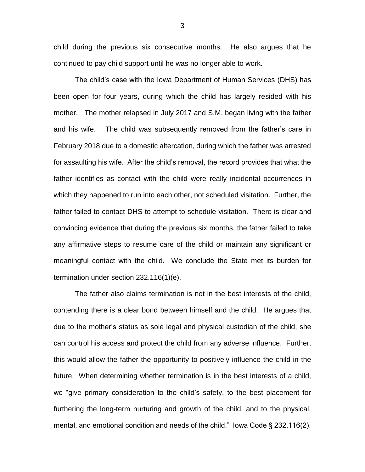child during the previous six consecutive months. He also argues that he continued to pay child support until he was no longer able to work.

The child's case with the Iowa Department of Human Services (DHS) has been open for four years, during which the child has largely resided with his mother. The mother relapsed in July 2017 and S.M. began living with the father and his wife. The child was subsequently removed from the father's care in February 2018 due to a domestic altercation, during which the father was arrested for assaulting his wife. After the child's removal, the record provides that what the father identifies as contact with the child were really incidental occurrences in which they happened to run into each other, not scheduled visitation. Further, the father failed to contact DHS to attempt to schedule visitation. There is clear and convincing evidence that during the previous six months, the father failed to take any affirmative steps to resume care of the child or maintain any significant or meaningful contact with the child. We conclude the State met its burden for termination under section 232.116(1)(e).

The father also claims termination is not in the best interests of the child, contending there is a clear bond between himself and the child. He argues that due to the mother's status as sole legal and physical custodian of the child, she can control his access and protect the child from any adverse influence. Further, this would allow the father the opportunity to positively influence the child in the future. When determining whether termination is in the best interests of a child, we "give primary consideration to the child's safety, to the best placement for furthering the long-term nurturing and growth of the child, and to the physical, mental, and emotional condition and needs of the child." Iowa Code § 232.116(2).